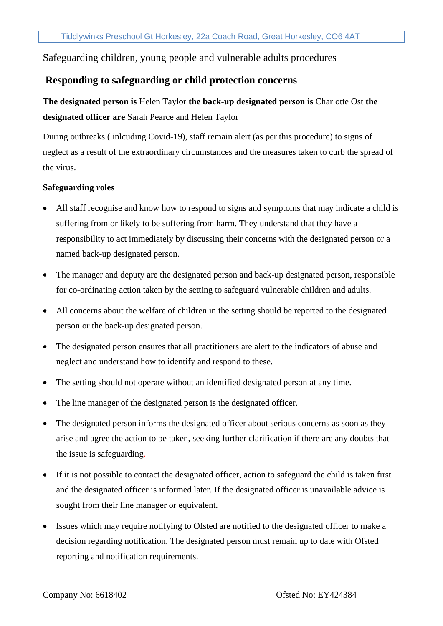Safeguarding children, young people and vulnerable adults procedures

## **Responding to safeguarding or child protection concerns**

**The designated person is** Helen Taylor **the back-up designated person is** Charlotte Ost **the designated officer are** Sarah Pearce and Helen Taylor

During outbreaks ( inlcuding Covid-19), staff remain alert (as per this procedure) to signs of neglect as a result of the extraordinary circumstances and the measures taken to curb the spread of the virus.

## **Safeguarding roles**

- All staff recognise and know how to respond to signs and symptoms that may indicate a child is suffering from or likely to be suffering from harm. They understand that they have a responsibility to act immediately by discussing their concerns with the designated person or a named back-up designated person.
- The manager and deputy are the designated person and back-up designated person, responsible for co-ordinating action taken by the setting to safeguard vulnerable children and adults.
- All concerns about the welfare of children in the setting should be reported to the designated person or the back-up designated person.
- The designated person ensures that all practitioners are alert to the indicators of abuse and neglect and understand how to identify and respond to these.
- The setting should not operate without an identified designated person at any time.
- The line manager of the designated person is the designated officer.
- The designated person informs the designated officer about serious concerns as soon as they arise and agree the action to be taken, seeking further clarification if there are any doubts that the issue is safeguarding.
- If it is not possible to contact the designated officer, action to safeguard the child is taken first and the designated officer is informed later. If the designated officer is unavailable advice is sought from their line manager or equivalent.
- Issues which may require notifying to Ofsted are notified to the designated officer to make a decision regarding notification. The designated person must remain up to date with Ofsted reporting and notification requirements.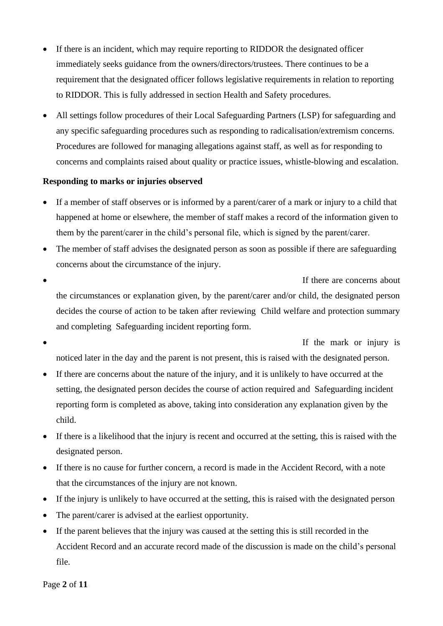- If there is an incident, which may require reporting to RIDDOR the designated officer immediately seeks guidance from the owners/directors/trustees. There continues to be a requirement that the designated officer follows legislative requirements in relation to reporting to RIDDOR. This is fully addressed in section Health and Safety procedures.
- All settings follow procedures of their Local Safeguarding Partners (LSP) for safeguarding and any specific safeguarding procedures such as responding to radicalisation/extremism concerns. Procedures are followed for managing allegations against staff, as well as for responding to concerns and complaints raised about quality or practice issues, whistle-blowing and escalation.

### **Responding to marks or injuries observed**

- If a member of staff observes or is informed by a parent/carer of a mark or injury to a child that happened at home or elsewhere, the member of staff makes a record of the information given to them by the parent/carer in the child's personal file, which is signed by the parent/carer.
- The member of staff advises the designated person as soon as possible if there are safeguarding concerns about the circumstance of the injury.
- If there are concerns about the circumstances or explanation given, by the parent/carer and/or child, the designated person decides the course of action to be taken after reviewing Child welfare and protection summary and completing Safeguarding incident reporting form.

If the mark or injury is

- noticed later in the day and the parent is not present, this is raised with the designated person. • If there are concerns about the nature of the injury, and it is unlikely to have occurred at the
- setting, the designated person decides the course of action required and Safeguarding incident reporting form is completed as above, taking into consideration any explanation given by the child.
- If there is a likelihood that the injury is recent and occurred at the setting, this is raised with the designated person.
- If there is no cause for further concern, a record is made in the Accident Record, with a note that the circumstances of the injury are not known.
- If the injury is unlikely to have occurred at the setting, this is raised with the designated person
- The parent/carer is advised at the earliest opportunity.
- If the parent believes that the injury was caused at the setting this is still recorded in the Accident Record and an accurate record made of the discussion is made on the child's personal file.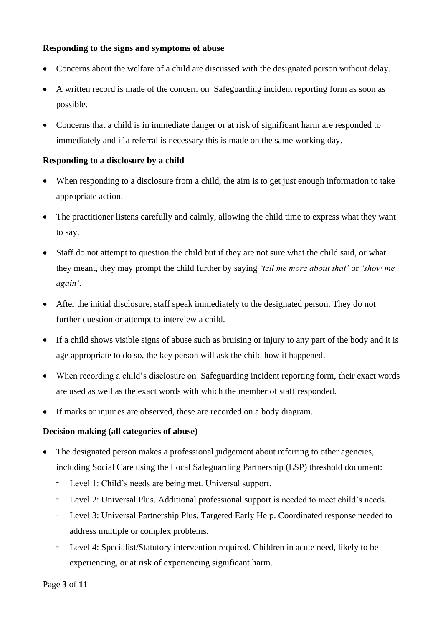### **Responding to the signs and symptoms of abuse**

- Concerns about the welfare of a child are discussed with the designated person without delay.
- A written record is made of the concern on Safeguarding incident reporting form as soon as possible.
- Concerns that a child is in immediate danger or at risk of significant harm are responded to immediately and if a referral is necessary this is made on the same working day.

### **Responding to a disclosure by a child**

- When responding to a disclosure from a child, the aim is to get just enough information to take appropriate action.
- The practitioner listens carefully and calmly, allowing the child time to express what they want to say.
- Staff do not attempt to question the child but if they are not sure what the child said, or what they meant, they may prompt the child further by saying *'tell me more about that'* or *'show me again'.*
- After the initial disclosure, staff speak immediately to the designated person. They do not further question or attempt to interview a child.
- If a child shows visible signs of abuse such as bruising or injury to any part of the body and it is age appropriate to do so, the key person will ask the child how it happened.
- When recording a child's disclosure on Safeguarding incident reporting form, their exact words are used as well as the exact words with which the member of staff responded.
- If marks or injuries are observed, these are recorded on a body diagram.

## **Decision making (all categories of abuse)**

- The designated person makes a professional judgement about referring to other agencies, including Social Care using the Local Safeguarding Partnership (LSP) threshold document:
	- Level 1: Child's needs are being met. Universal support.
	- Level 2: Universal Plus. Additional professional support is needed to meet child's needs.
	- Level 3: Universal Partnership Plus. Targeted Early Help. Coordinated response needed to address multiple or complex problems.
	- Level 4: Specialist/Statutory intervention required. Children in acute need, likely to be experiencing, or at risk of experiencing significant harm.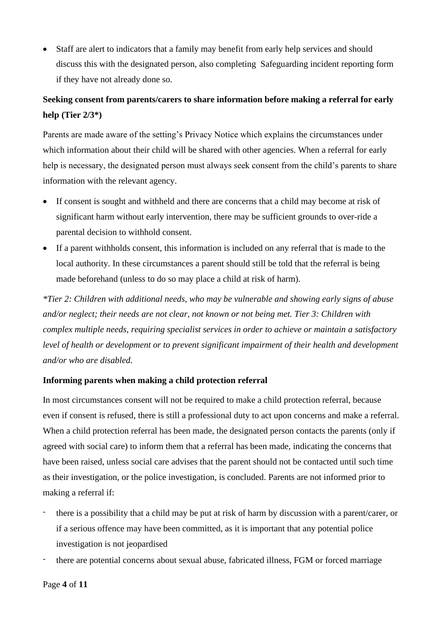• Staff are alert to indicators that a family may benefit from early help services and should discuss this with the designated person, also completing Safeguarding incident reporting form if they have not already done so.

## **Seeking consent from parents/carers to share information before making a referral for early help (Tier 2/3\*)**

Parents are made aware of the setting's Privacy Notice which explains the circumstances under which information about their child will be shared with other agencies. When a referral for early help is necessary, the designated person must always seek consent from the child's parents to share information with the relevant agency.

- If consent is sought and withheld and there are concerns that a child may become at risk of significant harm without early intervention, there may be sufficient grounds to over-ride a parental decision to withhold consent.
- If a parent withholds consent, this information is included on any referral that is made to the local authority. In these circumstances a parent should still be told that the referral is being made beforehand (unless to do so may place a child at risk of harm).

*\*Tier 2: Children with additional needs, who may be vulnerable and showing early signs of abuse and/or neglect; their needs are not clear, not known or not being met. Tier 3: Children with complex multiple needs, requiring specialist services in order to achieve or maintain a satisfactory*  level of health or development or to prevent significant impairment of their health and development *and/or who are disabled.*

## **Informing parents when making a child protection referral**

In most circumstances consent will not be required to make a child protection referral, because even if consent is refused, there is still a professional duty to act upon concerns and make a referral. When a child protection referral has been made, the designated person contacts the parents (only if agreed with social care) to inform them that a referral has been made, indicating the concerns that have been raised, unless social care advises that the parent should not be contacted until such time as their investigation, or the police investigation, is concluded. Parents are not informed prior to making a referral if:

- there is a possibility that a child may be put at risk of harm by discussion with a parent/carer, or if a serious offence may have been committed, as it is important that any potential police investigation is not jeopardised
- there are potential concerns about sexual abuse, fabricated illness, FGM or forced marriage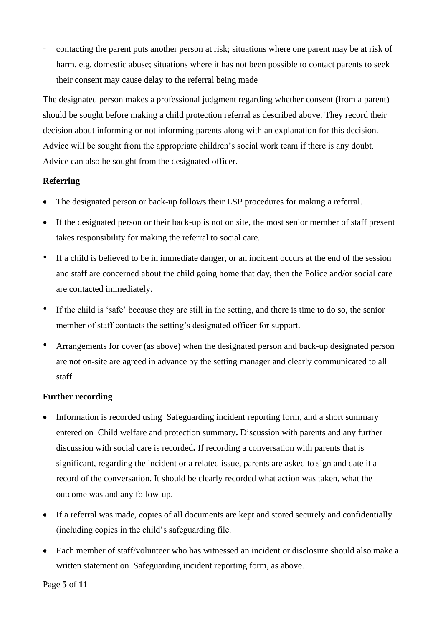- contacting the parent puts another person at risk; situations where one parent may be at risk of harm, e.g. domestic abuse; situations where it has not been possible to contact parents to seek their consent may cause delay to the referral being made

The designated person makes a professional judgment regarding whether consent (from a parent) should be sought before making a child protection referral as described above. They record their decision about informing or not informing parents along with an explanation for this decision. Advice will be sought from the appropriate children's social work team if there is any doubt. Advice can also be sought from the designated officer.

## **Referring**

- The designated person or back-up follows their LSP procedures for making a referral.
- If the designated person or their back-up is not on site, the most senior member of staff present takes responsibility for making the referral to social care.
- If a child is believed to be in immediate danger, or an incident occurs at the end of the session and staff are concerned about the child going home that day, then the Police and/or social care are contacted immediately.
- If the child is 'safe' because they are still in the setting, and there is time to do so, the senior member of staff contacts the setting's designated officer for support.
- Arrangements for cover (as above) when the designated person and back-up designated person are not on-site are agreed in advance by the setting manager and clearly communicated to all staff.

## **Further recording**

- Information is recorded using Safeguarding incident reporting form, and a short summary entered on Child welfare and protection summary**.** Discussion with parents and any further discussion with social care is recorded**.** If recording a conversation with parents that is significant, regarding the incident or a related issue, parents are asked to sign and date it a record of the conversation. It should be clearly recorded what action was taken, what the outcome was and any follow-up.
- If a referral was made, copies of all documents are kept and stored securely and confidentially (including copies in the child's safeguarding file.
- Each member of staff/volunteer who has witnessed an incident or disclosure should also make a written statement on Safeguarding incident reporting form, as above.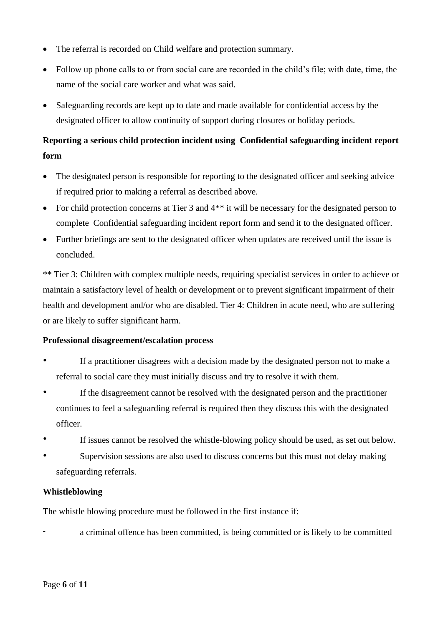- The referral is recorded on Child welfare and protection summary.
- Follow up phone calls to or from social care are recorded in the child's file; with date, time, the name of the social care worker and what was said.
- Safeguarding records are kept up to date and made available for confidential access by the designated officer to allow continuity of support during closures or holiday periods.

# **Reporting a serious child protection incident using Confidential safeguarding incident report form**

- The designated person is responsible for reporting to the designated officer and seeking advice if required prior to making a referral as described above.
- For child protection concerns at Tier 3 and  $4**$  it will be necessary for the designated person to complete Confidential safeguarding incident report form and send it to the designated officer.
- Further briefings are sent to the designated officer when updates are received until the issue is concluded.

\*\* Tier 3: Children with complex multiple needs, requiring specialist services in order to achieve or maintain a satisfactory level of health or development or to prevent significant impairment of their health and development and/or who are disabled. Tier 4: Children in acute need, who are suffering or are likely to suffer significant harm.

## **Professional disagreement/escalation process**

- If a practitioner disagrees with a decision made by the designated person not to make a referral to social care they must initially discuss and try to resolve it with them.
- If the disagreement cannot be resolved with the designated person and the practitioner continues to feel a safeguarding referral is required then they discuss this with the designated officer.
- If issues cannot be resolved the whistle-blowing policy should be used, as set out below.
- Supervision sessions are also used to discuss concerns but this must not delay making safeguarding referrals.

## **Whistleblowing**

The whistle blowing procedure must be followed in the first instance if:

a criminal offence has been committed, is being committed or is likely to be committed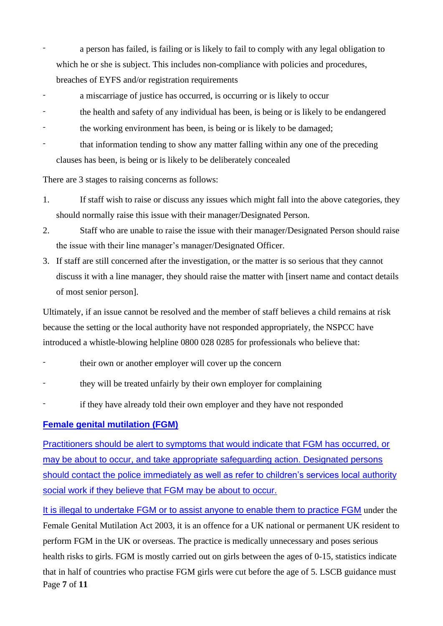a person has failed, is failing or is likely to fail to comply with any legal obligation to which he or she is subject. This includes non-compliance with policies and procedures, breaches of EYFS and/or registration requirements

- a miscarriage of justice has occurred, is occurring or is likely to occur
- the health and safety of any individual has been, is being or is likely to be endangered
- the working environment has been, is being or is likely to be damaged;
- that information tending to show any matter falling within any one of the preceding clauses has been, is being or is likely to be deliberately concealed

There are 3 stages to raising concerns as follows:

- 1. If staff wish to raise or discuss any issues which might fall into the above categories, they should normally raise this issue with their manager/Designated Person.
- 2. Staff who are unable to raise the issue with their manager/Designated Person should raise the issue with their line manager's manager/Designated Officer.
- 3. If staff are still concerned after the investigation, or the matter is so serious that they cannot discuss it with a line manager, they should raise the matter with [insert name and contact details of most senior person].

Ultimately, if an issue cannot be resolved and the member of staff believes a child remains at risk because the setting or the local authority have not responded appropriately, the NSPCC have introduced a whistle-blowing helpline 0800 028 0285 for professionals who believe that:

- their own or another employer will cover up the concern
- they will be treated unfairly by their own employer for complaining
- if they have already told their own employer and they have not responded

### **Female genital mutilation (FGM)**

Practitioners should be alert to symptoms that would indicate that FGM has occurred, or may be about to occur, and take appropriate safeguarding action. Designated persons should contact the police immediately as well as refer to children's services local authority social work if they believe that FGM may be about to occur.

Page **7** of **11** It is illegal to undertake FGM or to assist anyone to enable them to practice FGM under the Female Genital Mutilation Act 2003, it is an offence for a UK national or permanent UK resident to perform FGM in the UK or overseas. The practice is medically unnecessary and poses serious health risks to girls. FGM is mostly carried out on girls between the ages of 0-15, statistics indicate that in half of countries who practise FGM girls were cut before the age of 5. LSCB guidance must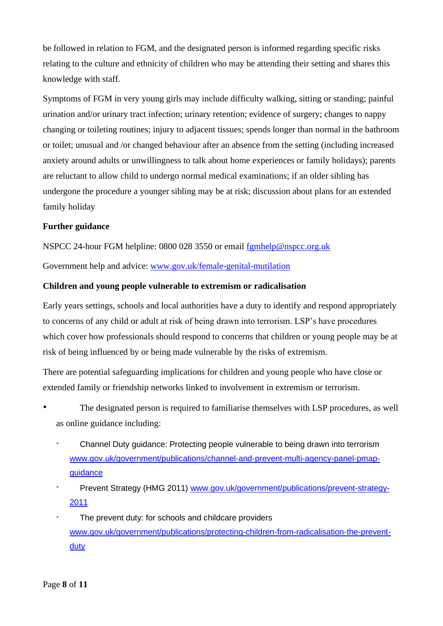be followed in relation to FGM, and the designated person is informed regarding specific risks relating to the culture and ethnicity of children who may be attending their setting and shares this knowledge with staff.

Symptoms of FGM in very young girls may include difficulty walking, sitting or standing; painful urination and/or urinary tract infection; urinary retention; evidence of surgery; changes to nappy changing or toileting routines; injury to adjacent tissues; spends longer than normal in the bathroom or toilet; unusual and /or changed behaviour after an absence from the setting (including increased anxiety around adults or unwillingness to talk about home experiences or family holidays); parents are reluctant to allow child to undergo normal medical examinations; if an older sibling has undergone the procedure a younger sibling may be at risk; discussion about plans for an extended family holiday

### **Further guidance**

NSPCC 24-hour FGM helpline: 0800 028 3550 or email [fgmhelp@nspcc.org.uk](mailto:fgmhelp@nspcc.org.uk)

Government help and advice: [www.gov.uk/female-genital-mutilation](http://www.gov.uk/female-genital-mutilation)

### **Children and young people vulnerable to extremism or radicalisation**

Early years settings, schools and local authorities have a duty to identify and respond appropriately to concerns of any child or adult at risk of being drawn into terrorism. LSP's have procedures which cover how professionals should respond to concerns that children or young people may be at risk of being influenced by or being made vulnerable by the risks of extremism.

There are potential safeguarding implications for children and young people who have close or extended family or friendship networks linked to involvement in extremism or terrorism.

- The designated person is required to familiarise themselves with LSP procedures, as well as online guidance including:
	- Channel Duty guidance: Protecting people vulnerable to being drawn into terrorism [www.gov.uk/government/publications/channel-and-prevent-multi-agency-panel-pmap](http://www.gov.uk/government/publications/channel-and-prevent-multi-agency-panel-pmap-guidance)[guidance](http://www.gov.uk/government/publications/channel-and-prevent-multi-agency-panel-pmap-guidance)
	- Prevent Strategy (HMG 2011) [www.gov.uk/government/publications/prevent-strategy-](http://www.gov.uk/government/publications/prevent-strategy-2011)[2011](http://www.gov.uk/government/publications/prevent-strategy-2011)
	- The prevent duty: for schools and childcare providers [www.gov.uk/government/publications/protecting-children-from-radicalisation-the-prevent](http://www.gov.uk/government/publications/protecting-children-from-radicalisation-the-prevent-duty)[duty](http://www.gov.uk/government/publications/protecting-children-from-radicalisation-the-prevent-duty)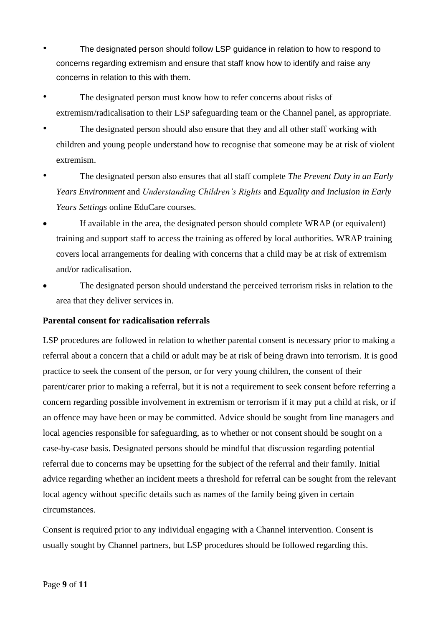- The designated person should follow LSP guidance in relation to how to respond to concerns regarding extremism and ensure that staff know how to identify and raise any concerns in relation to this with them.
- The designated person must know how to refer concerns about risks of extremism/radicalisation to their LSP safeguarding team or the Channel panel, as appropriate.
- The designated person should also ensure that they and all other staff working with children and young people understand how to recognise that someone may be at risk of violent extremism.
- The designated person also ensures that all staff complete *The Prevent Duty in an Early Years Environment* and *Understanding Children's Rights* and *Equality and Inclusion in Early Years Settings* online EduCare courses*.*
- If available in the area, the designated person should complete WRAP (or equivalent) training and support staff to access the training as offered by local authorities. WRAP training covers local arrangements for dealing with concerns that a child may be at risk of extremism and/or radicalisation.
- The designated person should understand the perceived terrorism risks in relation to the area that they deliver services in.

## **Parental consent for radicalisation referrals**

LSP procedures are followed in relation to whether parental consent is necessary prior to making a referral about a concern that a child or adult may be at risk of being drawn into terrorism. It is good practice to seek the consent of the person, or for very young children, the consent of their parent/carer prior to making a referral, but it is not a requirement to seek consent before referring a concern regarding possible involvement in extremism or terrorism if it may put a child at risk, or if an offence may have been or may be committed. Advice should be sought from line managers and local agencies responsible for safeguarding, as to whether or not consent should be sought on a case-by-case basis. Designated persons should be mindful that discussion regarding potential referral due to concerns may be upsetting for the subject of the referral and their family. Initial advice regarding whether an incident meets a threshold for referral can be sought from the relevant local agency without specific details such as names of the family being given in certain circumstances.

Consent is required prior to any individual engaging with a Channel intervention. Consent is usually sought by Channel partners, but LSP procedures should be followed regarding this.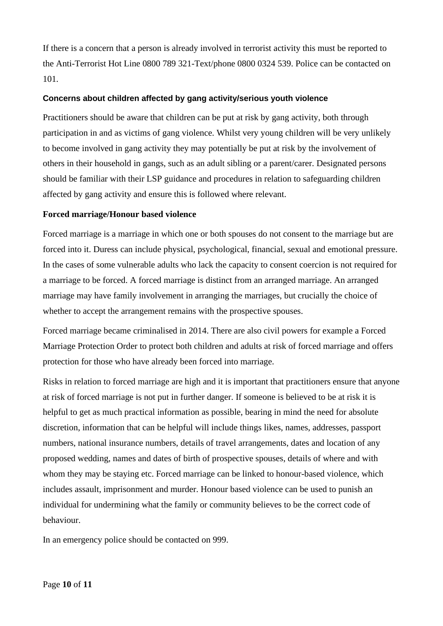If there is a concern that a person is already involved in terrorist activity this must be reported to the Anti-Terrorist Hot Line 0800 789 321-Text/phone 0800 0324 539. Police can be contacted on 101.

### **Concerns about children affected by gang activity/serious youth violence**

Practitioners should be aware that children can be put at risk by gang activity, both through participation in and as victims of gang violence. Whilst very young children will be very unlikely to become involved in gang activity they may potentially be put at risk by the involvement of others in their household in gangs, such as an adult sibling or a parent/carer. Designated persons should be familiar with their LSP guidance and procedures in relation to safeguarding children affected by gang activity and ensure this is followed where relevant.

### **Forced marriage/Honour based violence**

Forced marriage is a marriage in which one or both spouses do not consent to the marriage but are forced into it. Duress can include physical, psychological, financial, sexual and emotional pressure. In the cases of some vulnerable adults who lack the capacity to consent coercion is not required for a marriage to be forced. A forced marriage is distinct from an arranged marriage. An arranged marriage may have family involvement in arranging the marriages, but crucially the choice of whether to accept the arrangement remains with the prospective spouses.

Forced marriage became criminalised in 2014. There are also civil powers for example a Forced Marriage Protection Order to protect both children and adults at risk of forced marriage and offers protection for those who have already been forced into marriage.

Risks in relation to forced marriage are high and it is important that practitioners ensure that anyone at risk of forced marriage is not put in further danger. If someone is believed to be at risk it is helpful to get as much practical information as possible, bearing in mind the need for absolute discretion, information that can be helpful will include things likes, names, addresses, passport numbers, national insurance numbers, details of travel arrangements, dates and location of any proposed wedding, names and dates of birth of prospective spouses, details of where and with whom they may be staying etc. Forced marriage can be linked to honour-based violence, which includes assault, imprisonment and murder. Honour based violence can be used to punish an individual for undermining what the family or community believes to be the correct code of behaviour.

In an emergency police should be contacted on 999.